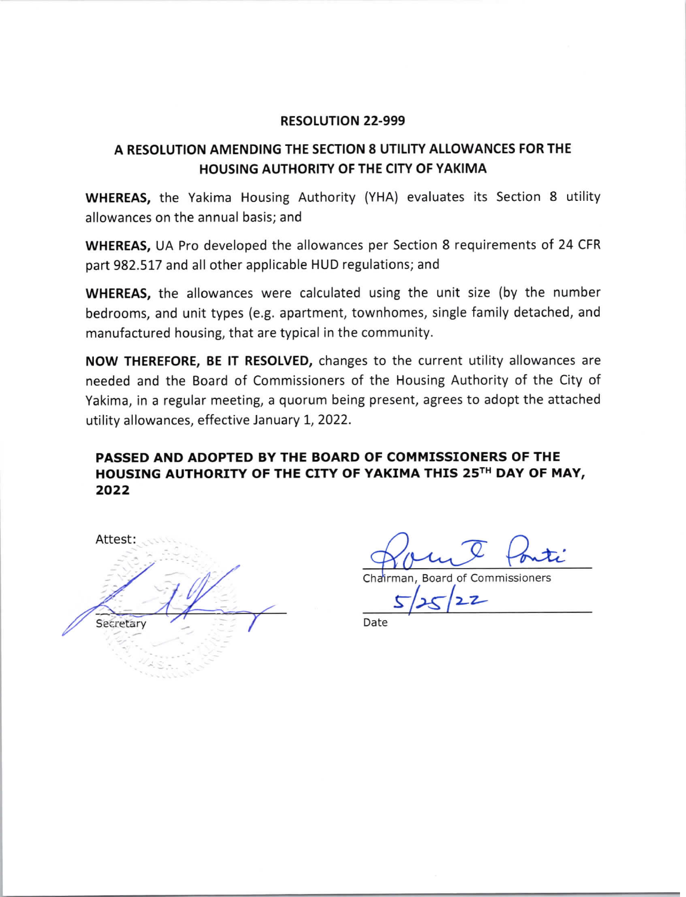#### **RESOLUTION 22-999**

# A RESOLUTION AMENDING THE SECTION 8 UTILITY ALLOWANCES FOR THE HOUSING AUTHORITY OF THE CITY OF YAKIMA

**WHEREAS,** the Yakima Housing Authority (YHA) evaluates its Section 8 utility allowances on the annual basis; and

**WHEREAS, UA Pro developed the allowances per Section 8 requirements of 24 CFR** part 982.517 and all other applicable HUD regulations; and

**WHEREAS**, the allowances were calculated using the unit size (by the number bedrooms, and unit types (e.g. apartment, townhomes, single family detached, and manufactured housing, that are typical in the community.

NOW THEREFORE, BE IT RESOLVED, changes to the current utility allowances are needed and the Board of Commissioners of the Housing Authority of the City of Yakima, in a regular meeting, a quorum being present, agrees to adopt the attached utility allowances, effective January 1, 2022.

## PASSED AND ADOPTED BY THE BOARD OF COMMISSIONERS OF THE HOUSING AUTHORITY OF THE CITY OF YAKIMA THIS 25TH DAY OF MAY, 2022

Attest: Secretary

Chairman, Board of Commissioners  $\overline{z}$ 

Date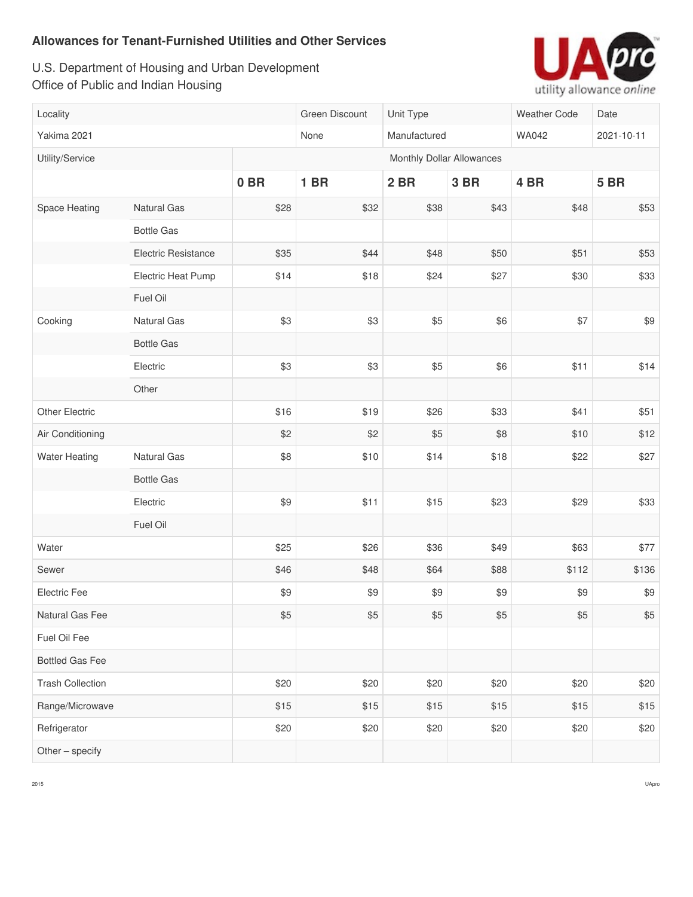U.S. Department of Housing and Urban Development Office of Public and Indian Housing



| Locality                |                            |                 | Green Discount            | Unit Type |      | <b>Weather Code</b> | Date        |  |  |  |
|-------------------------|----------------------------|-----------------|---------------------------|-----------|------|---------------------|-------------|--|--|--|
| Yakima 2021             |                            |                 | None<br>Manufactured      |           |      | <b>WA042</b>        | 2021-10-11  |  |  |  |
| Utility/Service         |                            |                 | Monthly Dollar Allowances |           |      |                     |             |  |  |  |
|                         |                            | 0 <sub>BR</sub> | <b>1 BR</b>               | 2 BR      | 3 BR | 4 BR                | <b>5 BR</b> |  |  |  |
| Space Heating           | Natural Gas                | \$28            | \$32                      | \$38      | \$43 | \$48                | \$53        |  |  |  |
|                         | <b>Bottle Gas</b>          |                 |                           |           |      |                     |             |  |  |  |
|                         | <b>Electric Resistance</b> | \$35            | \$44                      | \$48      | \$50 | \$51                | \$53        |  |  |  |
|                         | Electric Heat Pump         | \$14            | \$18                      | \$24      | \$27 | \$30                | \$33        |  |  |  |
|                         | Fuel Oil                   |                 |                           |           |      |                     |             |  |  |  |
| Cooking                 | Natural Gas                | \$3             | \$3                       | \$5       | \$6  | \$7                 | \$9         |  |  |  |
|                         | <b>Bottle Gas</b>          |                 |                           |           |      |                     |             |  |  |  |
|                         | Electric                   | \$3             | \$3                       | \$5       | \$6  | \$11                | \$14        |  |  |  |
|                         | Other                      |                 |                           |           |      |                     |             |  |  |  |
| Other Electric          |                            | \$16            | \$19                      | \$26      | \$33 | \$41                | \$51        |  |  |  |
| Air Conditioning        |                            | \$2             | \$2                       | \$5       | \$8  | \$10                | \$12        |  |  |  |
| <b>Water Heating</b>    | <b>Natural Gas</b>         | \$8             | \$10                      | \$14      | \$18 | \$22                | \$27        |  |  |  |
|                         | <b>Bottle Gas</b>          |                 |                           |           |      |                     |             |  |  |  |
|                         | Electric                   | \$9             | \$11                      | \$15      | \$23 | \$29                | \$33        |  |  |  |
|                         | Fuel Oil                   |                 |                           |           |      |                     |             |  |  |  |
| Water                   |                            | \$25            | \$26                      | \$36      | \$49 | \$63                | \$77        |  |  |  |
| Sewer                   |                            | \$46            | \$48                      | \$64      | \$88 | \$112               | \$136       |  |  |  |
| Electric Fee            |                            | \$9             | \$9                       | \$9       | \$9  | \$9                 | \$9         |  |  |  |
| Natural Gas Fee         |                            | \$5             | \$5                       | \$5       | \$5  | \$5                 | \$5         |  |  |  |
| Fuel Oil Fee            |                            |                 |                           |           |      |                     |             |  |  |  |
| <b>Bottled Gas Fee</b>  |                            |                 |                           |           |      |                     |             |  |  |  |
| <b>Trash Collection</b> |                            | \$20            | \$20                      | \$20      | \$20 | \$20                | \$20        |  |  |  |
| Range/Microwave         |                            | \$15            | \$15                      | \$15      | \$15 | \$15                | \$15        |  |  |  |
| Refrigerator            |                            | \$20            | \$20                      | \$20      | \$20 | \$20                | \$20        |  |  |  |
| Other - specify         |                            |                 |                           |           |      |                     |             |  |  |  |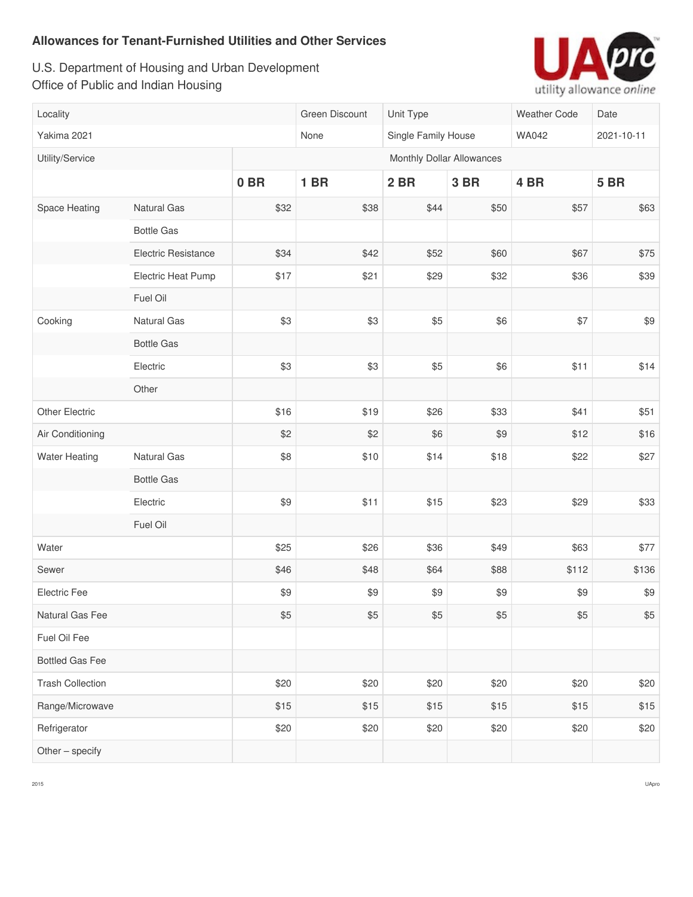U.S. Department of Housing and Urban Development Office of Public and Indian Housing



| Locality                |                            |                           | Green Discount              | Unit Type |              | Weather Code    | Date        |  |
|-------------------------|----------------------------|---------------------------|-----------------------------|-----------|--------------|-----------------|-------------|--|
| Yakima 2021             |                            |                           | None<br>Single Family House |           | <b>WA042</b> | 2021-10-11      |             |  |
| Utility/Service         |                            | Monthly Dollar Allowances |                             |           |              |                 |             |  |
|                         |                            | 0 <sub>BR</sub>           | <b>1 BR</b>                 | 2 BR      | 3 BR         | 4 <sub>BR</sub> | <b>5 BR</b> |  |
| Space Heating           | <b>Natural Gas</b>         | \$32                      | \$38                        | \$44      | \$50         | \$57            | \$63        |  |
|                         | <b>Bottle Gas</b>          |                           |                             |           |              |                 |             |  |
|                         | <b>Electric Resistance</b> | \$34                      | \$42                        | \$52      | \$60         | \$67            | \$75        |  |
|                         | Electric Heat Pump         | \$17                      | \$21                        | \$29      | \$32         | \$36            | \$39        |  |
|                         | Fuel Oil                   |                           |                             |           |              |                 |             |  |
| Cooking                 | Natural Gas                | \$3                       | \$3                         | \$5       | \$6          | \$7             | \$9         |  |
|                         | <b>Bottle Gas</b>          |                           |                             |           |              |                 |             |  |
|                         | Electric                   | \$3                       | \$3                         | \$5       | \$6          | \$11            | \$14        |  |
|                         | Other                      |                           |                             |           |              |                 |             |  |
| Other Electric          |                            | \$16                      | \$19                        | \$26      | \$33         | \$41            | \$51        |  |
| Air Conditioning        |                            | \$2                       | \$2                         | \$6       | \$9          | \$12            | \$16        |  |
| <b>Water Heating</b>    | Natural Gas                | \$8                       | \$10                        | \$14      | \$18         | \$22            | \$27        |  |
|                         | <b>Bottle Gas</b>          |                           |                             |           |              |                 |             |  |
|                         | Electric                   | \$9                       | \$11                        | \$15      | \$23         | \$29            | \$33        |  |
|                         | Fuel Oil                   |                           |                             |           |              |                 |             |  |
| Water                   |                            | \$25                      | \$26                        | \$36      | \$49         | \$63            | \$77        |  |
| Sewer                   |                            | \$46                      | \$48                        | \$64      | \$88         | \$112           | \$136       |  |
| Electric Fee            |                            | \$9                       | \$9                         | \$9       | \$9          | \$9             | \$9         |  |
| Natural Gas Fee         |                            | \$5                       | \$5                         | $$5$      | \$5          | \$5             | \$5         |  |
| Fuel Oil Fee            |                            |                           |                             |           |              |                 |             |  |
| <b>Bottled Gas Fee</b>  |                            |                           |                             |           |              |                 |             |  |
| <b>Trash Collection</b> |                            | \$20                      | \$20                        | \$20      | \$20         | \$20            | \$20        |  |
| Range/Microwave         |                            | \$15                      | \$15                        | \$15      | \$15         | \$15            | \$15        |  |
| Refrigerator            |                            | \$20                      | \$20                        | \$20      | \$20         | \$20            | \$20        |  |
| Other - specify         |                            |                           |                             |           |              |                 |             |  |

 $\overline{a}$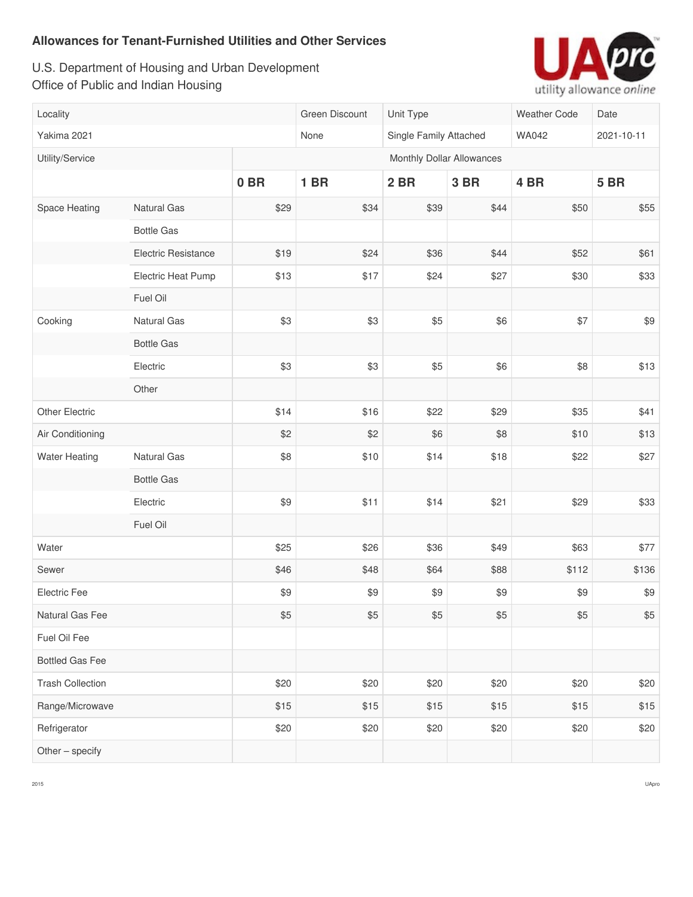U.S. Department of Housing and Urban Development Office of Public and Indian Housing



| Locality                |                            |                           | Green Discount | Unit Type              |      | <b>Weather Code</b> | Date        |  |  |
|-------------------------|----------------------------|---------------------------|----------------|------------------------|------|---------------------|-------------|--|--|
| Yakima 2021             |                            |                           | None           | Single Family Attached |      | <b>WA042</b>        | 2021-10-11  |  |  |
| Utility/Service         |                            | Monthly Dollar Allowances |                |                        |      |                     |             |  |  |
|                         |                            | 0 <sub>BR</sub>           | <b>1 BR</b>    | 2 BR                   | 3 BR | 4 BR                | <b>5 BR</b> |  |  |
| Space Heating           | Natural Gas                | \$29                      | \$34           | \$39                   | \$44 | \$50                | \$55        |  |  |
|                         | <b>Bottle Gas</b>          |                           |                |                        |      |                     |             |  |  |
|                         | <b>Electric Resistance</b> | \$19                      | \$24           | \$36                   | \$44 | \$52                | \$61        |  |  |
|                         | Electric Heat Pump         | \$13                      | \$17           | \$24                   | \$27 | \$30                | \$33        |  |  |
|                         | Fuel Oil                   |                           |                |                        |      |                     |             |  |  |
| Cooking                 | Natural Gas                | \$3                       | \$3            | \$5                    | \$6  | \$7                 | \$9         |  |  |
|                         | <b>Bottle Gas</b>          |                           |                |                        |      |                     |             |  |  |
|                         | Electric                   | \$3                       | \$3            | \$5                    | \$6  | \$8                 | \$13        |  |  |
|                         | Other                      |                           |                |                        |      |                     |             |  |  |
| Other Electric          |                            | \$14                      | \$16           | \$22                   | \$29 | \$35                | \$41        |  |  |
| Air Conditioning        |                            | \$2                       | \$2            | \$6                    | \$8  | \$10                | \$13        |  |  |
| <b>Water Heating</b>    | <b>Natural Gas</b>         | \$8                       | \$10           | \$14                   | \$18 | \$22                | \$27        |  |  |
|                         | <b>Bottle Gas</b>          |                           |                |                        |      |                     |             |  |  |
|                         | Electric                   | \$9                       | \$11           | \$14                   | \$21 | \$29                | \$33        |  |  |
|                         | Fuel Oil                   |                           |                |                        |      |                     |             |  |  |
| Water                   |                            | \$25                      | \$26           | \$36                   | \$49 | \$63                | \$77        |  |  |
| Sewer                   |                            | \$46                      | \$48           | \$64                   | \$88 | \$112               | \$136       |  |  |
| Electric Fee            |                            | \$9                       | \$9            | \$9                    | \$9  | \$9                 | \$9         |  |  |
| Natural Gas Fee         |                            | \$5                       | \$5            | \$5                    | \$5  | \$5                 | \$5         |  |  |
| Fuel Oil Fee            |                            |                           |                |                        |      |                     |             |  |  |
| <b>Bottled Gas Fee</b>  |                            |                           |                |                        |      |                     |             |  |  |
| <b>Trash Collection</b> |                            | \$20                      | \$20           | \$20                   | \$20 | \$20                | \$20        |  |  |
| Range/Microwave         |                            | \$15                      | \$15           | \$15                   | \$15 | \$15                | \$15        |  |  |
| Refrigerator            |                            | \$20                      | \$20           | \$20                   | \$20 | \$20                | \$20        |  |  |
| Other - specify         |                            |                           |                |                        |      |                     |             |  |  |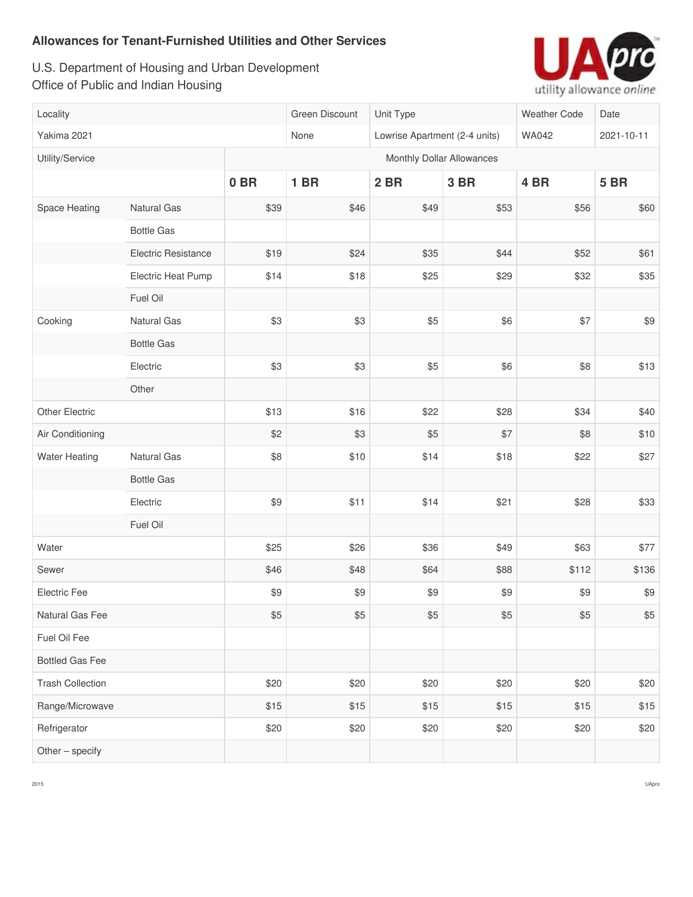U.S. Department of Housing and Urban Development Office of Public and Indian Housing



| Locality                |                            |                           | Green Discount | Unit Type                     |             | Weather Code    | Date        |  |  |
|-------------------------|----------------------------|---------------------------|----------------|-------------------------------|-------------|-----------------|-------------|--|--|
| Yakima 2021             |                            |                           | None           | Lowrise Apartment (2-4 units) |             | <b>WA042</b>    | 2021-10-11  |  |  |
| Utility/Service         |                            | Monthly Dollar Allowances |                |                               |             |                 |             |  |  |
|                         |                            | 0 <sub>BR</sub>           | <b>1 BR</b>    | 2 BR                          | <b>3 BR</b> | 4 <sub>BR</sub> | <b>5 BR</b> |  |  |
| Space Heating           | Natural Gas                | \$39                      | \$46           | \$49                          | \$53        | \$56            | \$60        |  |  |
|                         | <b>Bottle Gas</b>          |                           |                |                               |             |                 |             |  |  |
|                         | <b>Electric Resistance</b> | \$19                      | \$24           | \$35                          | \$44        | \$52            | \$61        |  |  |
|                         | Electric Heat Pump         | \$14                      | \$18           | \$25                          | \$29        | \$32            | \$35        |  |  |
|                         | Fuel Oil                   |                           |                |                               |             |                 |             |  |  |
| Cooking                 | Natural Gas                | \$3                       | \$3            | \$5                           | \$6         | \$7             | \$9         |  |  |
|                         | <b>Bottle Gas</b>          |                           |                |                               |             |                 |             |  |  |
|                         | Electric                   | \$3                       | \$3            | \$5                           | \$6         | \$8             | \$13        |  |  |
|                         | Other                      |                           |                |                               |             |                 |             |  |  |
| Other Electric          |                            | \$13                      | \$16           | \$22                          | \$28        | \$34            | \$40        |  |  |
| Air Conditioning        |                            | \$2                       | \$3            | \$5                           | \$7         | \$8             | \$10        |  |  |
| <b>Water Heating</b>    | Natural Gas                | \$8                       | \$10           | \$14                          | \$18        | \$22            | \$27        |  |  |
|                         | <b>Bottle Gas</b>          |                           |                |                               |             |                 |             |  |  |
|                         | Electric                   | \$9                       | \$11           | \$14                          | \$21        | \$28            | \$33        |  |  |
|                         | Fuel Oil                   |                           |                |                               |             |                 |             |  |  |
| Water                   |                            | \$25                      | \$26           | \$36                          | \$49        | \$63            | \$77        |  |  |
| Sewer                   |                            | \$46                      | \$48           | \$64                          | \$88        | \$112           | \$136       |  |  |
| Electric Fee            |                            | \$9                       | \$9            | \$9                           | \$9         | \$9             | \$9         |  |  |
| Natural Gas Fee         |                            | \$5                       | \$5            | \$5                           | $$5$        | \$5             | $$5\,$      |  |  |
| Fuel Oil Fee            |                            |                           |                |                               |             |                 |             |  |  |
| <b>Bottled Gas Fee</b>  |                            |                           |                |                               |             |                 |             |  |  |
| <b>Trash Collection</b> |                            | \$20                      | \$20           | \$20                          | \$20        | \$20            | \$20        |  |  |
| Range/Microwave         |                            | \$15                      | \$15           | \$15                          | \$15        | \$15            | \$15        |  |  |
| Refrigerator            |                            | \$20                      | \$20           | \$20                          | \$20        | \$20            | \$20        |  |  |
| Other - specify         |                            |                           |                |                               |             |                 |             |  |  |